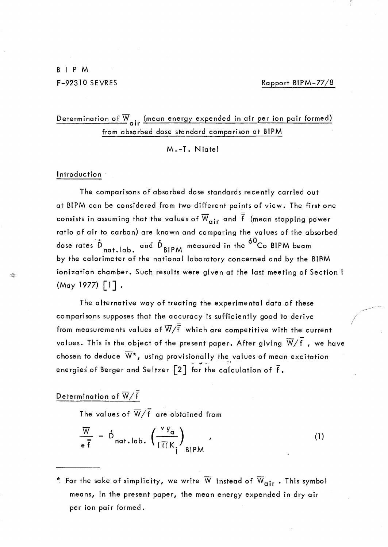F-92310 SEVRES Rapport BIPM-77/8

/ /

Determination of  $\overline{W}_{air}$  (mean energy expended in air per ion pair formed) from absorbed dose standard comparison at BIPM

M.-T. Niatel

## **Introduction**

Q

The comparisons of absorbed dose standards recently carried out at BIPM can be considered from two different points of view. The first one consists in assuming that the values of  $\overline{W}_{air}$  and  $\overline{\overline{f}}$  (mean stopping power ratio of air to carbon) are known and comparing the values of the absorbed dose rates  $\mathring{D}_{nat.\,lab.}$  and  $\mathring{D}_{BIPM}$  measured in the <sup>60</sup>Co BIPM beam by the calorimeter of the national laboratory concerned and by the BIPM ionization chamber. Such results were given at the last meeting of Section I  $(May 1977)$   $[1]$ .

The alternative way of treating the experimental data of these comparisons supposes that the accuracy is sufficiently good to derive from measurements values of  $\overline{W}/\overline{f}$  which are competitive with the current values. This is the object of the present paper. After giving  $\overline{W}/\overline{f}$  , we have chosen to deduce  $\overline{W}^*$ , using provisionally the values of mean excitation energies of Berger and Seltzer  $\begin{bmatrix} 2 \end{bmatrix}$  for the calculation of  $\bar{\bar{\mathsf{f}}}$ .

Determination of  $\overline{W}/\overline{f}$ 

The values of  $\overline{W}/\overline{f}$  are obtained from

$$
\frac{\overline{W}}{e^{\frac{\overline{x}}{f}}} = \stackrel{\circ}{D}_{nat,lab.} \left( \frac{v \, \varphi_a}{1 \, \overline{1} \, \overline{K}_i} \right)_{BIPM} \tag{1}
$$

 $^*$  For the sake of simplicity, we write  $\overline{W}$  instead of  $\overline{W}_{\textbf{air}}$  . This symbol means, in the present paper, the mean energy expended in dry air per ion pair formed.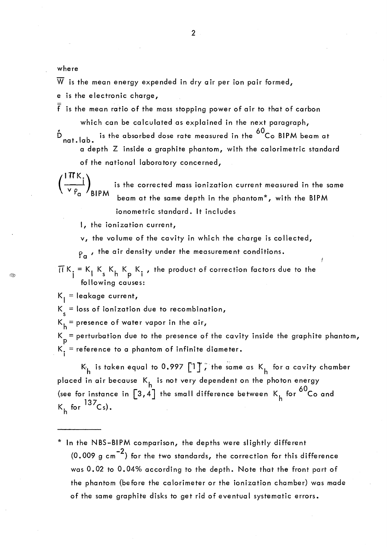where

(

Q.

 $\overline{W}$  is the mean energy expended in dry air per ion pair formed,

e is the electronic charge,

- $\overline{\overline{f}}$  is the mean ratio of the mass stopping power of air to that of carbon which can be calculated as explained in the next paragraph,
- $\mathring{\text{D}}$  nat.lab. is the absorbed dose rate measured in the  $^{60}\text{Co}$  BIPM beam at a depth Z inside a graphite phantom, with the calorimetric standard of the national laboratory concerned,

 $\left(\frac{IHK_i}{V.R}\right)$  is the corrected mass ionization current measured in the same  $^{\vee}$   $^{\varphi}$   $^{\alpha}$  / BIPM beam at the same depth in the phantom\*, with the BIPM ionometric standard. It includes

l, the ionization current,

v, the volume of the cavity in which the charge is collected,

 $P_{\alpha}$ , the air density under the measurement conditions.

 $\overline{H}K_i = K_i K_k K_k$ , the product of correction factors due to the  $1a$ <br>  $=$  K<sub>I</sub> K<sub>s</sub> K<sub>h</sub> K<sub>p</sub> K<sub>i</sub>,<br>
following causes: following causes:

 $K_{\parallel}$  = leakage current,

 $K_s =$  loss of ionization due to recombination,

 $K_h$  = presence of water vapor in the air,

 $K_{\rm p}$  = perturbation due to the presence of the cavity inside the graphite phantom,  $K_i$  = reference to a phantom of infinite diameter.

 $K_{h}$  is taken equal to 0.997 [1]  $\tilde{f}$  the same as  $K_{h}$  for a cavity chamber placed in air because  $K_h$  is not very dependent on the photon energy (see for instance in  $\left[3,4\right]$  the small difference between K<sub>h</sub> for <sup>60</sup>Co and  $K_h$  for  $^{137}Cs$ ).

\* ln the NBS-BIPM comparison, the depths were slightly different  $(0.009 \text{ g cm}^{-2})$  for the two standards, the correction for this difference was 0.02 to 0.04% according to the depth. Note that the front part of the phantom (before the calorimeter or the ionization chamber) was made of the same graphite disks to get rid of eventual systematic errors.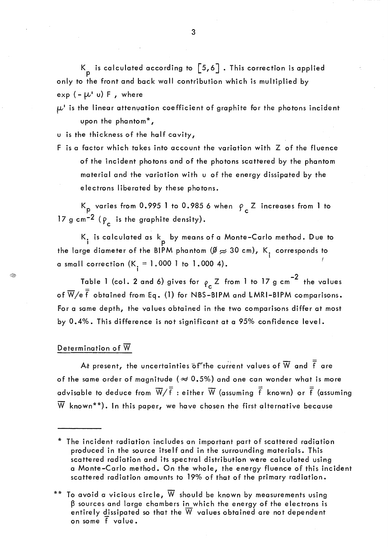K is calculated according to  $\begin{bmatrix} 5,6 \end{bmatrix}$  . This correction is applied only to the front and back wall contribution which is multiplied by  $exp(-\mu' u) F$ , where

 $\mu$ ' is the linear attenuation coefficient of graphite for the photons incident upon the phantom\*,

u is the thickness of the half cavity,

F is a factor which takes into account the variation with Z of the fluence of the incident photons and of the photons scattered by the phantom material and the variation with u of the energy dissipated by the electrons liberated by these photons.

K<sub>p</sub> varies from 0.995 1 to 0.985 6 when  $\rho_c$  Z increases from 1 to 17 g cm<sup>-2</sup> ( $\rho_c$  is the graphite density).

K<sub>i</sub> is calculated as  $\mathsf{k}_{\mathsf{p}}$  by means of a Monte–Carlo method. Due to the large diameter of the BIPM phantom  $\cancel{\emptyset} \approx$  30 cm), K<sub>t</sub> corresponds to <sup>1</sup>*t*  a small correction  $(K_i = 1.000 \text{ T to } 1.000 \text{ 4}).$ 

Table 1 (col. 2 and 6) gives for  $\rho_c$  Z from 1 to 17 g cm<sup>-2</sup> the values of  $\overline{W}/e \overline{f}$  obtained from Eq. (1) for NBS-BIPM and LMRI-BIPM comparisons. For a same depth, the values obtained in the two comparisons differ at most by 0.4%. This difference is not significant at a 95% confidence level.

## Determination of  $\overline{W}$

Q.

At present, the uncertainties of the current values of  $\overline{W}$  and  $\overline{\overline{f}}$  are of the same order of magnitude ( $\approx 0.5\%$ ) and one can wonder what is more advisable to deduce from  $\overline{W}/\overline{\overline{f}}$  : either  $\overline{W}$  (assuming  $\overline{\overline{f}}$  known) or  $\overline{\overline{f}}$  (assuming  $\overline{W}$  known\*\*). In this paper, we have chosen the first alternative because

3

<sup>\*</sup> The incident radiation includes an important part of scattered radiation produced in the source itself and in the surrounding materials. This scattered radiation and its spectral distribution were calculated using a Monte-Carlo method. On the whole, the energy fluence of this incident scattered radiation amounts to 19% of that of the primary radiation.

<sup>\*\*</sup> To avoid a vicious circle,  $\overline{W}$  should be known by measurements using  $\beta$  sources and large chambers in which the energy of the electrons is entirely dissipated so that the  $\overline{W}$  values obtained are not dependent on some f va lue.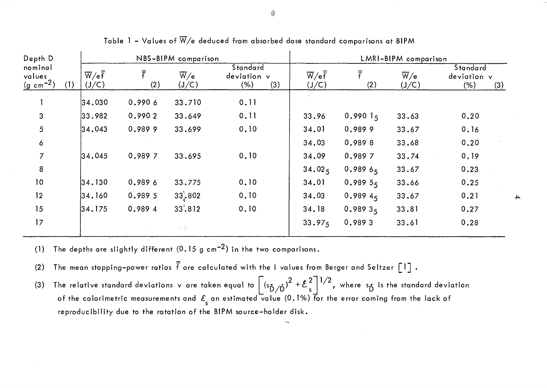| Depth D                         |     | NBS-BIPM comparison                   |                  |                                             |                                              | LMRI-BIPM comparison                             |                  |                                             |                                        |
|---------------------------------|-----|---------------------------------------|------------------|---------------------------------------------|----------------------------------------------|--------------------------------------------------|------------------|---------------------------------------------|----------------------------------------|
| nominal<br>values<br>$(g cm-2)$ | (1) | $\overline{W}/e\overline{f}$<br>(J/C) | $\bar{f}$<br>(2) | $\overline{\mathsf{W}}/\mathsf{e}$<br>(J/C) | <b>Standard</b><br>deviation v<br>(%)<br>(3) | $\overline{W}/e\overline{\overline{f}}$<br>(J/C) | $\bar{r}$<br>(2) | $\overline{\mathsf{W}}/\mathsf{e}$<br>(J/C) | Standard<br>deviation v<br>(% )<br>(3) |
|                                 |     | $ 34,030\rangle$                      | 0.9906           | 33.710                                      | 0.11                                         |                                                  |                  |                                             |                                        |
| $\mathbf{3}$                    |     | 33.982                                | 0.9902           | 33.649                                      | 0.11                                         | 33.96                                            | 0.99015          | 33.63                                       | 0.20                                   |
| 5                               |     | 34.043                                | 0.9899           | 33.699                                      | 0.10                                         | 34.01                                            | 0.9899           | 33.67                                       | 0.16                                   |
| $\boldsymbol{6}$                |     |                                       |                  |                                             |                                              | 34.03                                            | 0.9898           | 33.68                                       | 0.20                                   |
| $\overline{7}$                  |     | 34,045                                | 0.989 7          | 33.695                                      | 0.10                                         | 34.09                                            | 0.989 7          | 33.74                                       | 0.19                                   |
| 8                               |     |                                       |                  |                                             |                                              | 34.02 <sub>5</sub>                               | 0.98965          | 33.67                                       | 0.23                                   |
| 10                              |     | 34.130                                | 0.989 6          | 33.775                                      | 0.10                                         | 34.01                                            | 0.98955          | 33.66                                       | 0.25                                   |
| 12                              |     | 34.160                                | 0.989 5          | 33:802                                      | 0.10                                         | 34.03                                            | 0.9894           | 33.67                                       | 0.21                                   |
| 15                              |     | 34.175                                | 0.989 4          | 33:812                                      | 0.10                                         | 34.18                                            | 0.98935          | 33.81                                       | 0.27                                   |
| 17                              |     |                                       |                  | $\omega = \frac{1}{2\pi}$                   |                                              | 33.97 <sub>5</sub>                               | 0.9893           | 33.61                                       | 0.28                                   |

Table 1 - Values of  $\overline{W}/e$  deduced from absorbed dose standard comparisons at BIPM

(1) The depths are slightly different  $(0.15 \text{ g cm}^{-2})$  in the two comparisons.

(2) The mean stopping-power ratios  $\frac{1}{5}$  are calculated with the I values from Berger and Seltzer  $\begin{bmatrix} 1 \end{bmatrix}$  .

(3) The relative standard deviations v are taken equal to  $\left[\frac{\frac{s}{D}}{D}\right]^2 + \frac{2}{s}$ , where  $\frac{s}{D}$  is the standard deviation of the calorimetric measurements and  $\mathcal{E}_{\sf s}$  an estimated value (0.1%) for the error coming from the lack of reproducibility due to the rotation of the BIPM source-holder disk.

.j:>..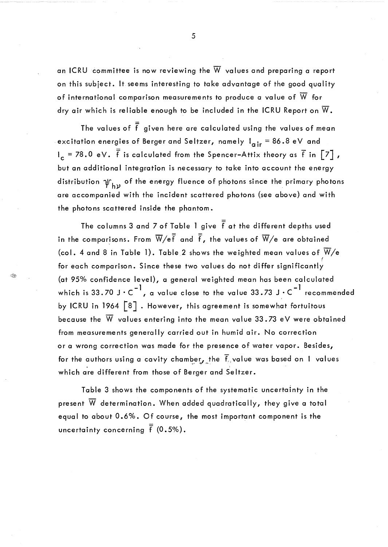an ICRU committee is now reviewing the  $\overline{W}$  values and preparing a report on this subject. It seems interesting to take advantage of the good quality of international comparison measurements to produce a value of  $\overline{W}$  for dry air which is reliable enough to be included in the ICRU Report on  $\overline{W}$ .

The values of  $\frac{1}{f}$  given here are calculated using the values of mean excitation energies of Berger and Seltzer, namely  $I_{air} = 86.8 \text{ eV}$  and  $I_c = 78.0 \text{ eV}$ .  $\frac{1}{5}$  is calculated from the Spencer-Attix theory as  $\frac{1}{5}$  in  $\left[\frac{7}{1}\right]$ , but an additional integration is necessary to take into account the energy distribution  $\psi_{\rm hy}$  of the energy fluence of photons since the primary photons are accompanied with the incident scattered photons {see above} and with the photons scattered inside the phantom.

The columns 3 and 7 of Table 1 give  $\frac{1}{5}$  at the different depths used in the comparisons. From  $\overline{W}/e\bar{\overline{f}}$  and  $\bar{\overline{f}}$ , the values of  $\overline{W}/e$  are obtained (col. 4 and 8 in Table 1). Table 2 shows the weighted mean values of  $\overline{W}/e$ for each comparison. Since these two values do not differ significantly  $\frac{1}{2}$ {at 95% confidence leve!}, a general weighted mean has been calculated which is 33.70 J·C<sup>-1</sup>, a value close to the value 33.73 J·C<sup>-1</sup> recommended by ICRU in 1964 [8]. However, this agreement is somewhat fortuitous because the  $\overline{W}$  values entering into the mean value 33.73 eV were obtained from measurements generally carried out in humid air. No correction or a wrong correction was made for the presence of water vapor. Besides, for the authors using a cavity chamber, the  $\bar{f}_i$  value was based on 1 values which are different from those of Berger and Seltzer.

Â

Table 3 shows the components of the systematic uncertainty in the present  $\overline{W}$  determination. When added quadratically, they give a total equal to about 0.6%. Of course, the most important component is the uncertainty concerning  $\bar{f}$  (0.5%).

5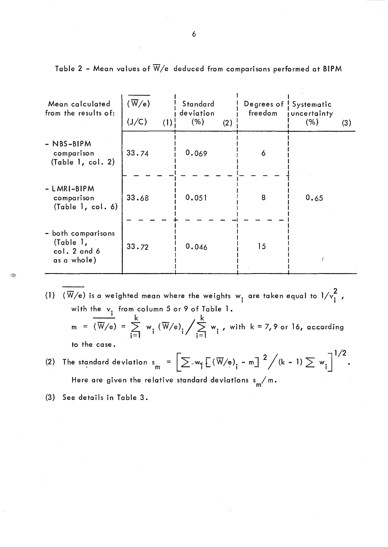| Mean calculated<br>from the results of:                        | $(\overline{\text{W}}/\text{e})$<br>(J/C)<br>(1) | <b>Standard</b><br>deviation<br>(% )<br>(2) | Degrees of<br>freedom | Systematic<br>uncertainty<br>(% )<br>(3) |
|----------------------------------------------------------------|--------------------------------------------------|---------------------------------------------|-----------------------|------------------------------------------|
| $-$ NBS-BIPM<br>comparison<br>(Table 1, col. 2)                | 33.74                                            | 0.069                                       | 6                     |                                          |
| - LMRI-BIPM<br>comparison<br>(Table 1, col. 6)                 | 33.68                                            | 0.051                                       | 8                     | 0.65                                     |
| - both comparisons<br>(Table 1,<br>col. 2 and 6<br>as a whole) | 33.72                                            | 0.046                                       | 15                    |                                          |

Table 2 - Mean values of  $\overline{W}/e$  deduced from comparisons performed at BIPM

- (1)  $(\overline{W}/e)$  is a weighted mean where the weights w<sub>i</sub> are taken equal to  $1/v_i^2$ , with the v<sub>:</sub> from column 5 or 9 of Table 1. ——<sup>1</sup> k , k  $m = (\overline{W}/e) = \sum_{i=1}^{K} w_i (\overline{W}/e)_i / \sum_{i=1}^{K} w_i$ , with  $k = 7,9$  or 16, according to the case.  $\mathbf{z}$
- (2) The standard deviation  $s_{m} = \left[\sum w_{n} \mathbb{E}(\overline{W}/e)_{n} m\right]^{2} / (k-1) \sum w_{n}$ • Here are given the relative standard deviations  $\frac{s}{m}$ /m.
- (3) See details in Table 3.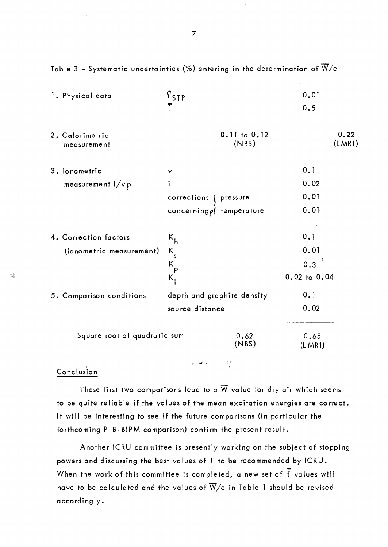| 1. Physical data             | $S_{\text{STP}}$              | 0.01           |  |
|------------------------------|-------------------------------|----------------|--|
|                              | Ŧ                             | 0.5            |  |
| 2. Calorimetric              | 0.11 to 0.12                  | 0.22           |  |
| measurement                  | (NBS)                         | (LMR)          |  |
| 3. lonometric                | v                             | 0.1            |  |
| measurement $1/v \rho$       |                               | 0.02           |  |
|                              | corrections<br>pressure       | 0.01           |  |
|                              | concerning $\rho$ temperature | 0.01           |  |
|                              |                               |                |  |
| 4. Correction factors        | $k_h^{\prime}$                | 0.1            |  |
| (ionometric measurement)     | K.<br>້ s                     | 0.01           |  |
|                              | $K_{p}$                       | 0.3            |  |
|                              | $\mathsf{K}_\mathsf{i}$       | 0.02 to 0.04   |  |
| 5. Comparison conditions     | depth and graphite density    | 0.1            |  |
|                              | source distance               | 0.02           |  |
| Square root of quadratic sum | 0.62<br>(NBS)                 | 0.65<br>(LMRI) |  |

Table 3 - Systematic uncertainties (%) entering in the determination of  $\overline{W}/e$ 

Conclusion

These first two comparisons lead to a  $\overline{W}$  value for dry air which seems to be quite reliable if the values of the mean excitation energies are correct. It will be interesting to see if the future comparisons (in particular the forthcoming PTB-BIPM comparison) confirm the present result.

 $\mathsf{w} \in \mathsf{R}^{\mathsf{b}}(\mathsf{w}_\mathsf{b})$ 

 $\sim 23$ 

Another ICRU committee is presently working on the subject of stopping powers and discussing the best values of 1 to be recommended by ICRU. When the work of this committee is completed, a new set of  $\frac{1}{f}$  values will have to be calculated and the values of  $\overline{W}/e$  in Table 1 should be revised accordingly.

*·fcii?p*